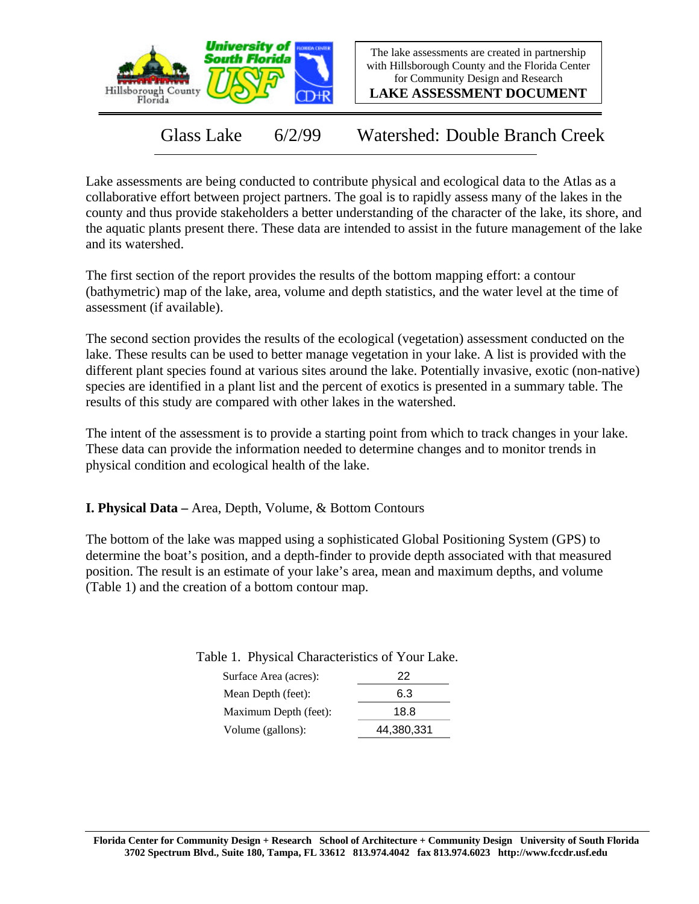



**LAKE ASSESSMENT DOCUMENT**

Glass Lake 6/2/99 Watershed: Double Branch Creek

Lake assessments are being conducted to contribute physical and ecological data to the Atlas as a collaborative effort between project partners. The goal is to rapidly assess many of the lakes in the county and thus provide stakeholders a better understanding of the character of the lake, its shore, and the aquatic plants present there. These data are intended to assist in the future management of the lake and its watershed.

The first section of the report provides the results of the bottom mapping effort: a contour (bathymetric) map of the lake, area, volume and depth statistics, and the water level at the time of assessment (if available).

The second section provides the results of the ecological (vegetation) assessment conducted on the lake. These results can be used to better manage vegetation in your lake. A list is provided with the different plant species found at various sites around the lake. Potentially invasive, exotic (non-native) species are identified in a plant list and the percent of exotics is presented in a summary table. The results of this study are compared with other lakes in the watershed.

The intent of the assessment is to provide a starting point from which to track changes in your lake. These data can provide the information needed to determine changes and to monitor trends in physical condition and ecological health of the lake.

**I. Physical Data –** Area, Depth, Volume, & Bottom Contours

The bottom of the lake was mapped using a sophisticated Global Positioning System (GPS) to determine the boat's position, and a depth-finder to provide depth associated with that measured position. The result is an estimate of your lake's area, mean and maximum depths, and volume (Table 1) and the creation of a bottom contour map.

| Surface Area (acres): | 22         |
|-----------------------|------------|
| Mean Depth (feet):    | 6.3        |
| Maximum Depth (feet): | 18.8       |
| Volume (gallons):     | 44,380,331 |

Table 1. Physical Characteristics of Your Lake.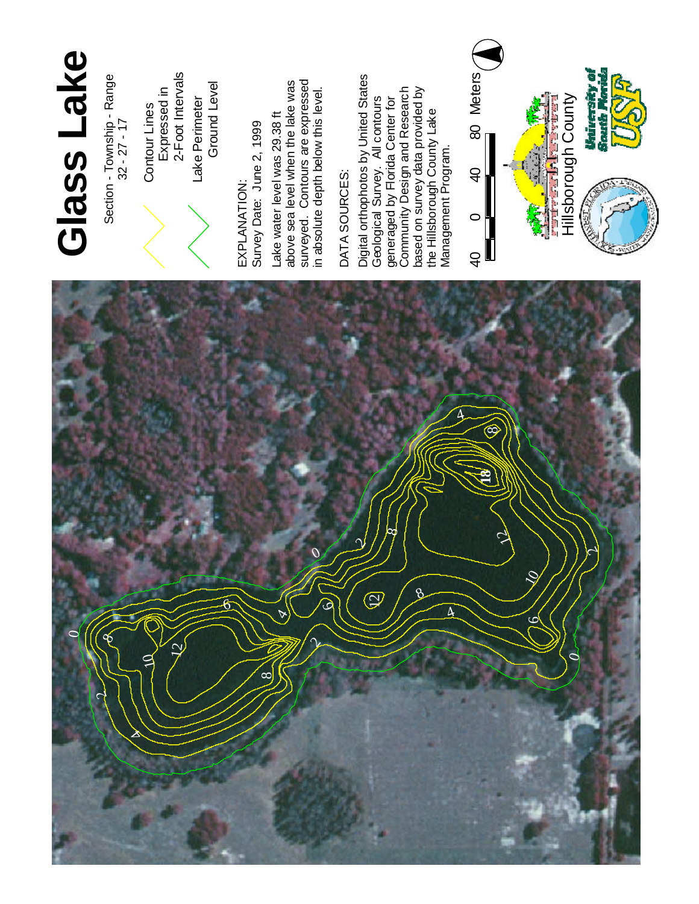

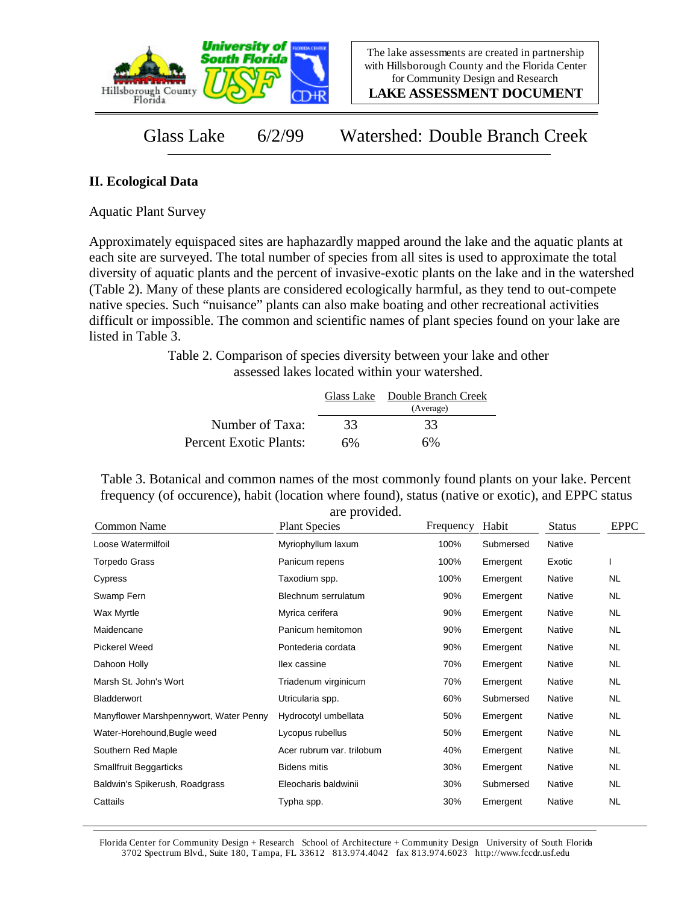

**LAKE ASSESSMENT DOCUMENT**

Glass Lake 6/2/99 Watershed: Double Branch Creek

## **II. Ecological Data**

Aquatic Plant Survey

Approximately equispaced sites are haphazardly mapped around the lake and the aquatic plants at each site are surveyed. The total number of species from all sites is used to approximate the total diversity of aquatic plants and the percent of invasive-exotic plants on the lake and in the watershed (Table 2). Many of these plants are considered ecologically harmful, as they tend to out-compete native species. Such "nuisance" plants can also make boating and other recreational activities difficult or impossible. The common and scientific names of plant species found on your lake are listed in Table 3.

> Table 2. Comparison of species diversity between your lake and other assessed lakes located within your watershed.

|                        |    | Glass Lake Double Branch Creek<br>(Average) |  |
|------------------------|----|---------------------------------------------|--|
| Number of Taxa:        | 33 | 33                                          |  |
| Percent Exotic Plants: | 6% | 6%                                          |  |

Table 3. Botanical and common names of the most commonly found plants on your lake. Percent frequency (of occurence), habit (location where found), status (native or exotic), and EPPC status are provided.

| Common Name                            | <b>Plant Species</b>      | Frequency | Habit     | <b>Status</b> | <b>EPPC</b> |
|----------------------------------------|---------------------------|-----------|-----------|---------------|-------------|
| Loose Watermilfoil                     | Myriophyllum laxum        | 100%      | Submersed | Native        |             |
| <b>Torpedo Grass</b>                   | Panicum repens            | 100%      | Emergent  | Exotic        |             |
| Cypress                                | Taxodium spp.             | 100%      | Emergent  | Native        | NL.         |
| Swamp Fern                             | Blechnum serrulatum       | 90%       | Emergent  | <b>Native</b> | <b>NL</b>   |
| Wax Myrtle                             | Myrica cerifera           | 90%       | Emergent  | Native        | NL.         |
| Maidencane                             | Panicum hemitomon         | 90%       | Emergent  | Native        | NL.         |
| <b>Pickerel Weed</b>                   | Pontederia cordata        | 90%       | Emergent  | <b>Native</b> | NL.         |
| Dahoon Holly                           | llex cassine              | 70%       | Emergent  | Native        | NL.         |
| Marsh St. John's Wort                  | Triadenum virginicum      | 70%       | Emergent  | Native        | NL.         |
| Bladderwort                            | Utricularia spp.          | 60%       | Submersed | <b>Native</b> | NL.         |
| Manyflower Marshpennywort, Water Penny | Hydrocotyl umbellata      | 50%       | Emergent  | Native        | NL.         |
| Water-Horehound, Bugle weed            | Lycopus rubellus          | 50%       | Emergent  | Native        | NL.         |
| Southern Red Maple                     | Acer rubrum var. trilobum | 40%       | Emergent  | Native        | NL.         |
| <b>Smallfruit Beggarticks</b>          | <b>Bidens mitis</b>       | 30%       | Emergent  | Native        | NL.         |
| Baldwin's Spikerush, Roadgrass         | Eleocharis baldwinii      | 30%       | Submersed | Native        | NL.         |
| Cattails                               | Typha spp.                | 30%       | Emergent  | Native        | NL          |

Florida Center for Community Design + Research School of Architecture + Community Design University of South Florida 3702 Spectrum Blvd., Suite 180, Tampa, FL 33612 813.974.4042 fax 813.974.6023 http://www.fccdr.usf.edu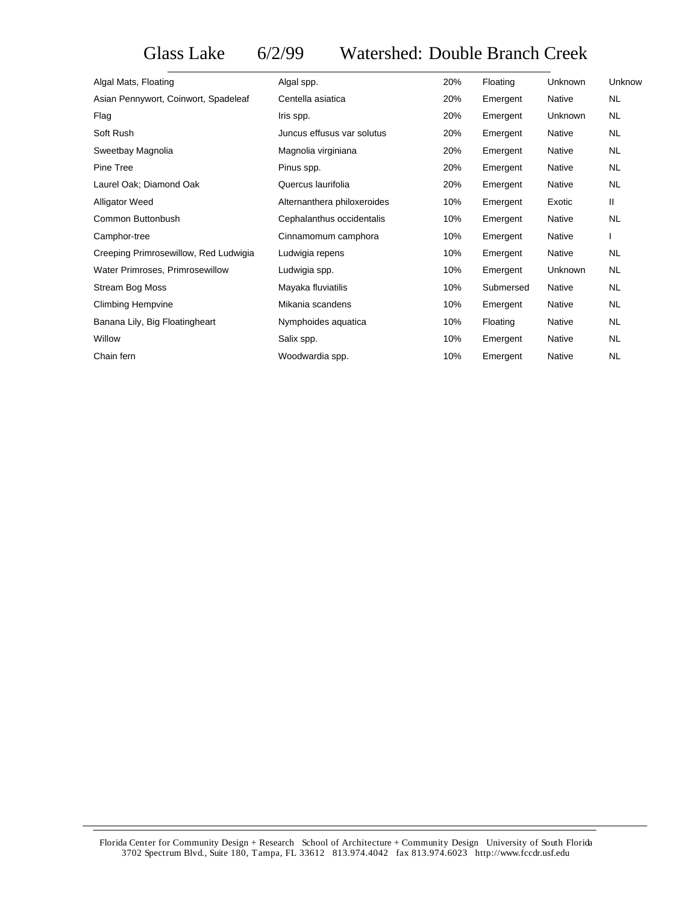## Glass Lake 6/2/99 Watershed: Double Branch Creek

| Algal Mats, Floating                  | Algal spp.                  | 20% | Floating  | <b>Unknown</b> | Unknow    |
|---------------------------------------|-----------------------------|-----|-----------|----------------|-----------|
| Asian Pennywort, Coinwort, Spadeleaf  | Centella asiatica           | 20% | Emergent  | Native         | <b>NL</b> |
| Flag                                  | Iris spp.                   | 20% | Emergent  | Unknown        | NL.       |
| Soft Rush                             | Juncus effusus var solutus  | 20% | Emergent  | Native         | <b>NL</b> |
| Sweetbay Magnolia                     | Magnolia virginiana         | 20% | Emergent  | Native         | <b>NL</b> |
| Pine Tree                             | Pinus spp.                  | 20% | Emergent  | Native         | NL.       |
| Laurel Oak; Diamond Oak               | Quercus laurifolia          | 20% | Emergent  | Native         | NL.       |
| <b>Alligator Weed</b>                 | Alternanthera philoxeroides | 10% | Emergent  | Exotic         | Ш         |
| Common Buttonbush                     | Cephalanthus occidentalis   | 10% | Emergent  | Native         | NL.       |
| Camphor-tree                          | Cinnamomum camphora         | 10% | Emergent  | Native         |           |
| Creeping Primrosewillow, Red Ludwigia | Ludwigia repens             | 10% | Emergent  | Native         | <b>NL</b> |
| Water Primroses, Primrosewillow       | Ludwigia spp.               | 10% | Emergent  | Unknown        | <b>NL</b> |
| Stream Bog Moss                       | Mayaka fluviatilis          | 10% | Submersed | Native         | <b>NL</b> |
| <b>Climbing Hempvine</b>              | Mikania scandens            | 10% | Emergent  | Native         | NL.       |
| Banana Lily, Big Floatingheart        | Nymphoides aquatica         | 10% | Floating  | <b>Native</b>  | <b>NL</b> |
| Willow                                | Salix spp.                  | 10% | Emergent  | Native         | NL.       |
| Chain fern                            | Woodwardia spp.             | 10% | Emergent  | Native         | <b>NL</b> |
|                                       |                             |     |           |                |           |

Florida Center for Community Design + Research School of Architecture + Community Design University of South Florida 3702 Spectrum Blvd., Suite 180, Tampa, FL 33612 813.974.4042 fax 813.974.6023 http://www.fccdr.usf.edu